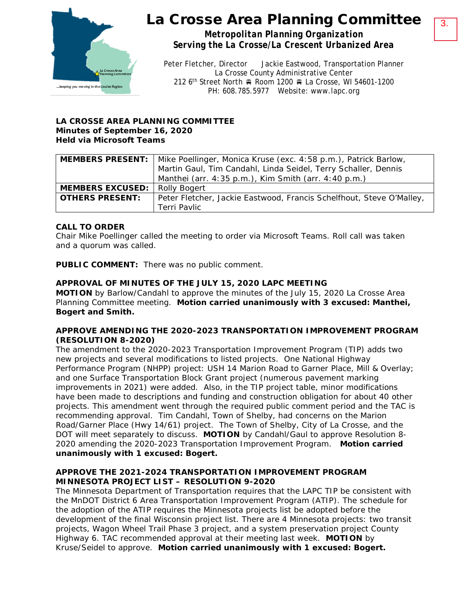

## La Crosse Area Planning Committee

*Metropolitan Planning Organization Serving the La Crosse/La Crescent Urbanized Area*

Peter Fletcher, Director Jackie Eastwood, Transportation Planner La Crosse County Administrative Center 212 6<sup>th</sup> Street North A Room 1200 A La Crosse, WI 54601-1200 PH: 608.785.5977 Website: www.lapc.org

## **LA CROSSE AREA PLANNING COMMITTEE Minutes of September 16, 2020 Held via Microsoft Teams**

|                         | <b>MEMBERS PRESENT:</b>   Mike Poellinger, Monica Kruse (exc. 4:58 p.m.), Patrick Barlow, |
|-------------------------|-------------------------------------------------------------------------------------------|
|                         | Martin Gaul, Tim Candahl, Linda Seidel, Terry Schaller, Dennis                            |
|                         | Manthei (arr. 4:35 p.m.), Kim Smith (arr. 4:40 p.m.)                                      |
| <b>MEMBERS EXCUSED:</b> | <b>Rolly Bogert</b>                                                                       |
| <b>OTHERS PRESENT:</b>  | Peter Fletcher, Jackie Eastwood, Francis Schelfhout, Steve O'Malley,                      |
|                         | Terri Pavlic                                                                              |

## **CALL TO ORDER**

Chair Mike Poellinger called the meeting to order via Microsoft Teams. Roll call was taken and a quorum was called.

**PUBLIC COMMENT:** There was no public comment.

## **APPROVAL OF MINUTES OF THE JULY 15, 2020 LAPC MEETING**

**MOTION** by Barlow/Candahl to approve the minutes of the July 15, 2020 La Crosse Area Planning Committee meeting. **Motion carried unanimously with 3 excused: Manthei, Bogert and Smith.**

#### **APPROVE AMENDING THE 2020-2023 TRANSPORTATION IMPROVEMENT PROGRAM (RESOLUTION 8-2020)**

The amendment to the 2020-2023 Transportation Improvement Program (TIP) adds two new projects and several modifications to listed projects. One National Highway Performance Program (NHPP) project: USH 14 Marion Road to Garner Place, Mill & Overlay; and one Surface Transportation Block Grant project (numerous pavement marking improvements in 2021) were added. Also, in the TIP project table, minor modifications have been made to descriptions and funding and construction obligation for about 40 other projects. This amendment went through the required public comment period and the TAC is recommending approval. Tim Candahl, Town of Shelby, had concerns on the Marion Road/Garner Place (Hwy 14/61) project. The Town of Shelby, City of La Crosse, and the DOT will meet separately to discuss. **MOTION** by Candahl/Gaul to approve Resolution 8- 2020 amending the 2020-2023 Transportation Improvement Program. **Motion carried unanimously with 1 excused: Bogert.** 

## **APPROVE THE 2021-2024 TRANSPORTATION IMPROVEMENT PROGRAM MINNESOTA PROJECT LIST – RESOLUTION 9-2020**

The Minnesota Department of Transportation requires that the LAPC TIP be consistent with the MnDOT District 6 Area Transportation Improvement Program (ATIP). The schedule for the adoption of the ATIP requires the Minnesota projects list be adopted before the development of the final Wisconsin project list. There are 4 Minnesota projects: two transit projects, Wagon Wheel Trail Phase 3 project, and a system preservation project County Highway 6. TAC recommended approval at their meeting last week. **MOTION** by Kruse/Seidel to approve. **Motion carried unanimously with 1 excused: Bogert.**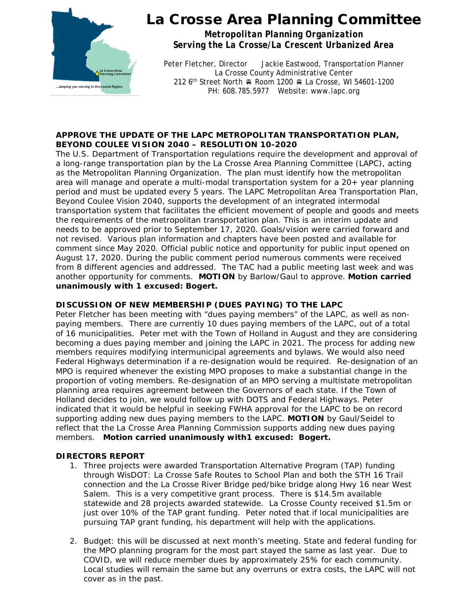

## La Crosse Area Planning Committee

*Metropolitan Planning Organization Serving the La Crosse/La Crescent Urbanized Area*

Peter Fletcher, Director Jackie Eastwood, Transportation Planner La Crosse County Administrative Center 212 6<sup>th</sup> Street North A Room 1200 R La Crosse, WI 54601-1200 PH: 608.785.5977 Website: www.lapc.org

#### **APPROVE THE UPDATE OF THE LAPC METROPOLITAN TRANSPORTATION PLAN, BEYOND COULEE VISION 2040 – RESOLUTION 10-2020**

The U.S. Department of Transportation regulations require the development and approval of a long-range transportation plan by the La Crosse Area Planning Committee (LAPC), acting as the Metropolitan Planning Organization. The plan must identify how the metropolitan area will manage and operate a multi-modal transportation system for a 20+ year planning period and must be updated every 5 years. The LAPC Metropolitan Area Transportation Plan, *Beyond Coulee Vision 2040*, supports the development of an integrated intermodal transportation system that facilitates the efficient movement of people and goods and meets the requirements of the metropolitan transportation plan. This is an interim update and needs to be approved prior to September 17, 2020. Goals/vision were carried forward and not revised. Various plan information and chapters have been posted and available for comment since May 2020. Official public notice and opportunity for public input opened on August 17, 2020. During the public comment period numerous comments were received from 8 different agencies and addressed. The TAC had a public meeting last week and was another opportunity for comments. **MOTION** by Barlow/Gaul to approve. **Motion carried unanimously with 1 excused: Bogert.**

#### **DISCUSSION OF NEW MEMBERSHIP (DUES PAYING) TO THE LAPC**

Peter Fletcher has been meeting with "dues paying members" of the LAPC, as well as nonpaying members. There are currently 10 dues paying members of the LAPC, out of a total of 16 municipalities. Peter met with the Town of Holland in August and they are considering becoming a dues paying member and joining the LAPC in 2021. The process for adding new members requires modifying intermunicipal agreements and bylaws. We would also need Federal Highways determination if a re-designation would be required. Re-designation of an MPO is required whenever the existing MPO proposes to make a substantial change in the proportion of voting members. Re-designation of an MPO serving a multistate metropolitan planning area requires agreement between the Governors of each state. If the Town of Holland decides to join, we would follow up with DOTS and Federal Highways. Peter indicated that it would be helpful in seeking FWHA approval for the LAPC to be on record supporting adding new dues paying members to the LAPC. **MOTION** by Gaul/Seidel to reflect that the La Crosse Area Planning Commission supports adding new dues paying members. **Motion carried unanimously with1 excused: Bogert.** 

#### **DIRECTORS REPORT**

- 1. Three projects were awarded Transportation Alternative Program (TAP) funding through WisDOT: La Crosse Safe Routes to School Plan and both the STH 16 Trail connection and the La Crosse River Bridge ped/bike bridge along Hwy 16 near West Salem. This is a very competitive grant process. There is \$14.5m available statewide and 28 projects awarded statewide. La Crosse County received \$1.5m or just over 10% of the TAP grant funding. Peter noted that if local municipalities are pursuing TAP grant funding, his department will help with the applications.
- 2. Budget: this will be discussed at next month's meeting. State and federal funding for the MPO planning program for the most part stayed the same as last year. Due to COVID, we will reduce member dues by approximately 25% for each community. Local studies will remain the same but any overruns or extra costs, the LAPC will not cover as in the past.